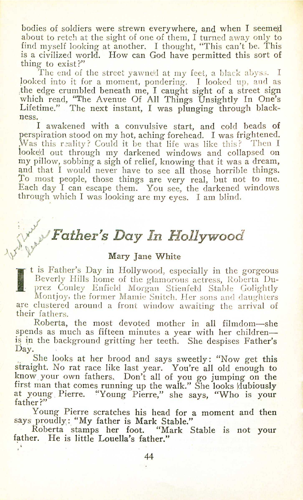## *t~Y Father's Day In Hollywood*

## Mary Jane White

AV. It is Father's Day in Hollywood, especially in the gorgeous Beverly Hills home of the glamorous actress, Roberta Du . prez Conley Enfield Morgan Stienfeld Stable Golightly Montjoy, the former Mamie Snitch. Her sons and daughters are clustered around a front window awaiting the arrival of their fathers.

Roberta, the most devoted mother in all filmdom-she spends as much as fifteen minutes a year with her childrenis in the background gritting her teeth. She despises Father's Day.

She looks at her brood and says sweetly: "Now get this straight. No rat race like last year. You're all old enough to know. your own fathers, Don't all of you *go* jumping on the first man that comes running up the walk." She looks dubious. at young Pierre. "Young Pierre," she says, "Who is you father?" .

Young Pierre scratches his head for a moment and then says proudly: "My father is Mark Stable."

Roberta stamps her foot. "Mark Stable is not your father. He is little Louella's father."